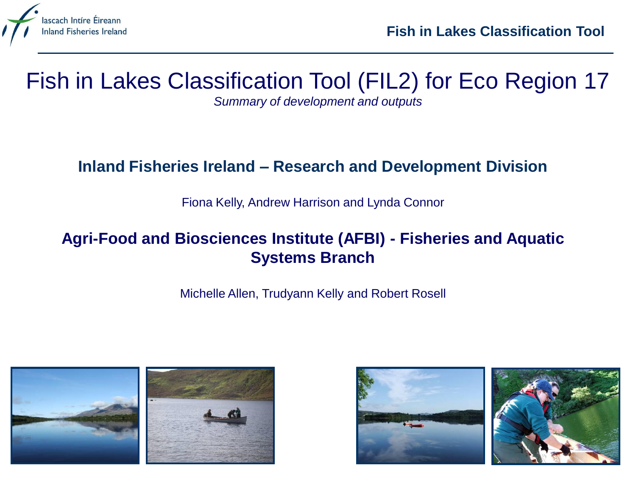

# Fish in Lakes Classification Tool (FIL2) for Eco Region 17

*Summary of development and outputs*

#### **Inland Fisheries Ireland – Research and Development Division**

Fiona Kelly, Andrew Harrison and Lynda Connor

#### **Agri-Food and Biosciences Institute (AFBI) - Fisheries and Aquatic Systems Branch**

Michelle Allen, Trudyann Kelly and Robert Rosell



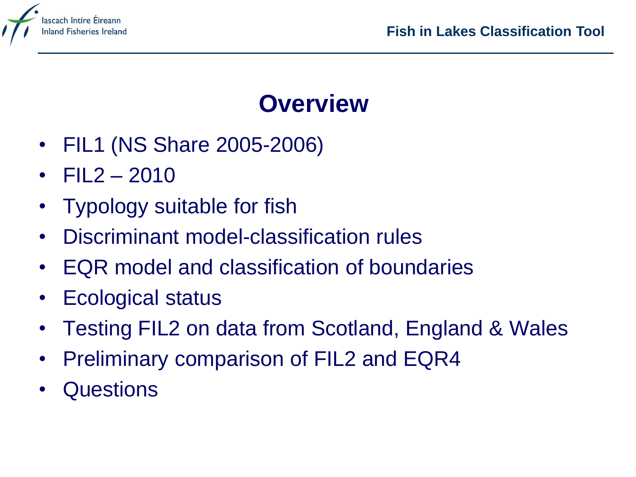

# **Overview**

- FIL1 (NS Share 2005-2006)
- $FIL2 2010$
- Typology suitable for fish
- Discriminant model-classification rules
- EQR model and classification of boundaries
- Ecological status
- Testing FIL2 on data from Scotland, England & Wales
- Preliminary comparison of FIL2 and EQR4
- **Questions**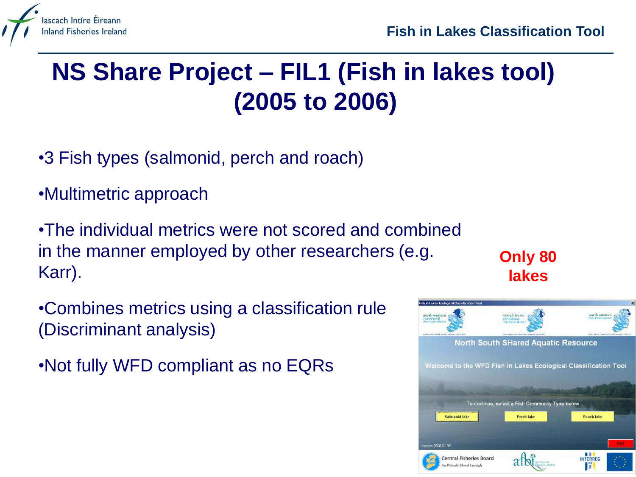

# **NS Share Project – FIL1 (Fish in lakes tool) (2005 to 2006)**

- •3 Fish types (salmonid, perch and roach)
- •Multimetric approach

•The individual metrics were not scored and combined in the manner employed by other researchers (e.g. Karr).

•Combines metrics using a classification rule (Discriminant analysis)

•Not fully WFD compliant as no EQRs



**Only 80** 

**lakes**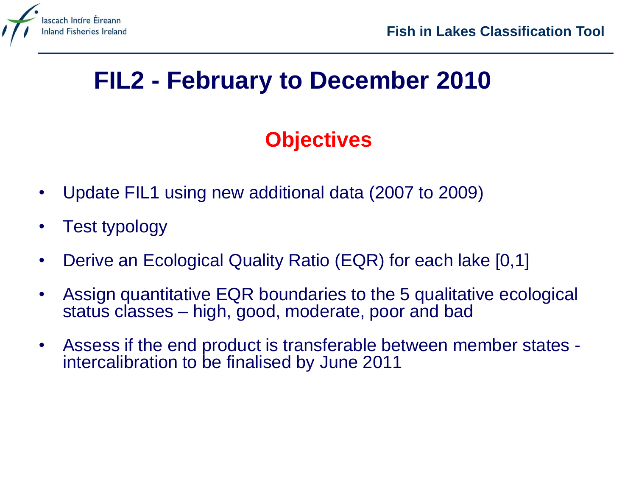

# **FIL2 - February to December 2010**

### **Objectives**

- Update FIL1 using new additional data (2007 to 2009)
- Test typology
- Derive an Ecological Quality Ratio (EQR) for each lake [0,1]
- Assign quantitative EQR boundaries to the 5 qualitative ecological status classes – high, good, moderate, poor and bad
- Assess if the end product is transferable between member states intercalibration to be finalised by June 2011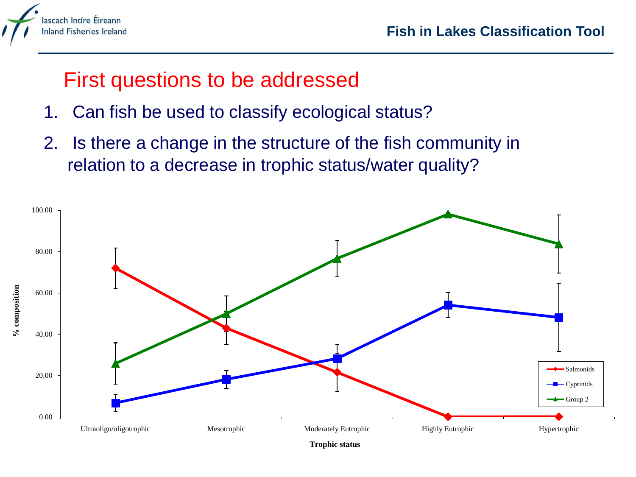

### First questions to be addressed

- 1. Can fish be used to classify ecological status?
- 2. Is there a change in the structure of the fish community in relation to a decrease in trophic status/water quality?

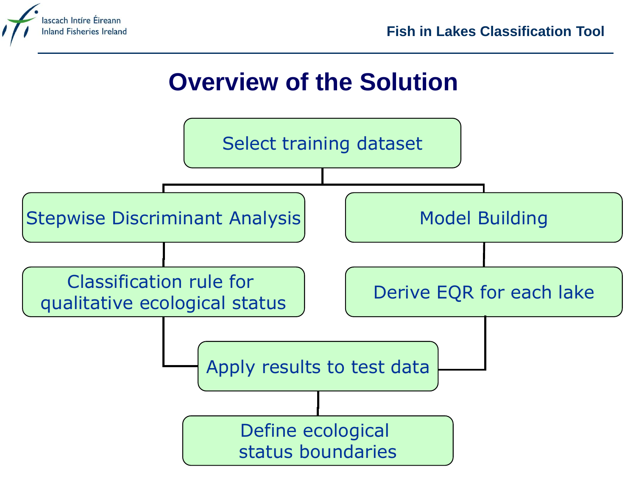

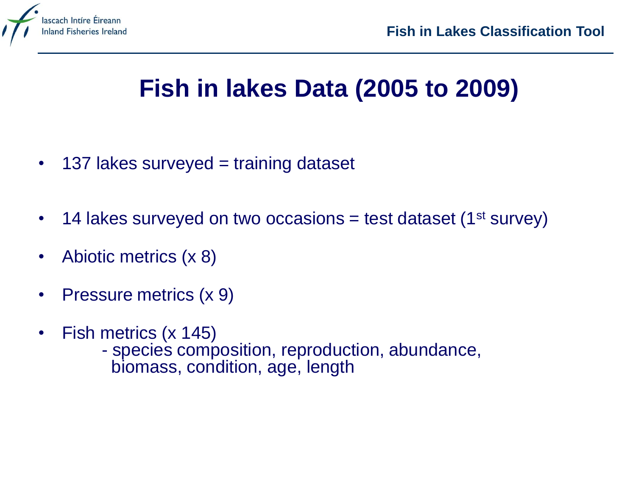

# **Fish in lakes Data (2005 to 2009)**

- 137 lakes surveyed = training dataset
- 14 lakes surveyed on two occasions = test dataset (1<sup>st</sup> survey)
- Abiotic metrics (x 8)
- Pressure metrics (x 9)
- Fish metrics (x 145)
	- species composition, reproduction, abundance, biomass, condition, age, length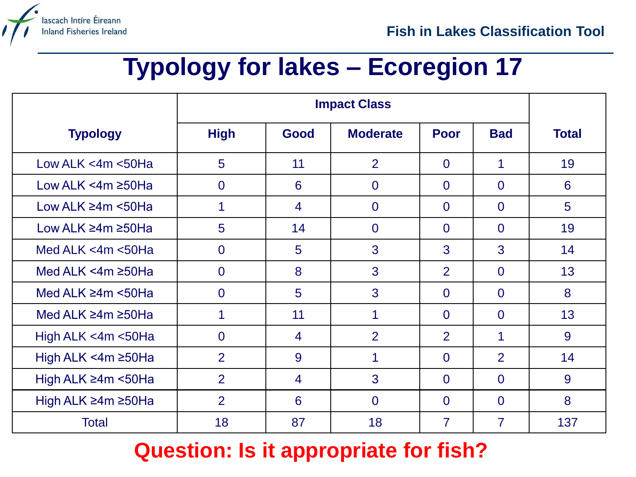

# **Typology for lakes – Ecoregion 17**

|                                | <b>Impact Class</b> |                |                 |                |                |              |
|--------------------------------|---------------------|----------------|-----------------|----------------|----------------|--------------|
| <b>Typology</b>                | <b>High</b>         | Good           | <b>Moderate</b> | <b>Poor</b>    | <b>Bad</b>     | <b>Total</b> |
| Low ALK $<$ 4m $<$ 50Ha        | 5                   | 11             | 2               | $\overline{0}$ | 1              | 19           |
| Low ALK <4m ≥50Ha              | $\overline{0}$      | 6              | $\overline{0}$  | $\overline{0}$ | $\overline{0}$ | 6            |
| Low ALK $\geq 4m$ <50Ha        | 1                   | $\overline{4}$ | $\overline{0}$  | $\overline{0}$ | $\Omega$       | 5            |
| Low ALK ≥4m ≥50Ha              | 5                   | 14             | $\overline{0}$  | $\overline{0}$ | $\overline{0}$ | 19           |
| Med ALK $<$ 4m $<$ 50Ha        | $\overline{0}$      | 5              | 3               | 3              | 3              | 14           |
| Med ALK <4m $\geq$ 50Ha        | $\overline{0}$      | 8              | 3               | $\overline{2}$ | $\overline{0}$ | 13           |
| Med ALK $\geq$ 4m <50Ha        | $\Omega$            | 5              | 3               | $\overline{0}$ | $\overline{0}$ | 8            |
| Med ALK $\geq 4m \geq 50$ Ha   | 1                   | 11             | 1               | $\Omega$       | $\Omega$       | 13           |
| High ALK <4m <50Ha             | $\overline{0}$      | 4              | 2               | 2              | 1              | 9            |
| High ALK $\leq$ 4m $\geq$ 50Ha | $\overline{2}$      | 9              | 1               | $\overline{0}$ | 2              | 14           |
| High ALK $\geq$ 4m <50Ha       | $\overline{2}$      | $\overline{4}$ | 3               | $\Omega$       | $\Omega$       | 9            |
| High ALK ≥4m ≥50Ha             | $\overline{2}$      | 6              | $\overline{0}$  | $\overline{0}$ | $\overline{0}$ | 8            |
| <b>Total</b>                   | 18                  | 87             | 18              | $\overline{7}$ | $\overline{7}$ | 137          |

### **Question: Is it appropriate for fish?**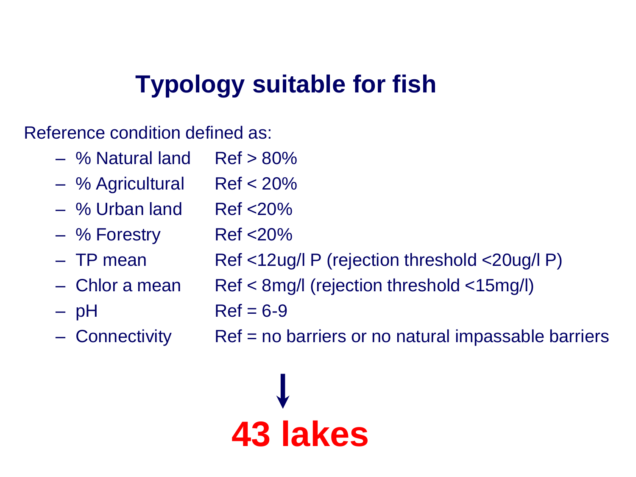# **Typology suitable for fish**

Reference condition defined as:

- $-$  % Natural land Ref  $> 80\%$
- % Agricultural Ref < 20%
- % Urban land Ref <20%
- % Forestry Ref <20%
- TP mean Ref <12ug/l P (rejection threshold <20ug/l P)
- Chlor a mean Ref < 8mg/l (rejection threshold <15mg/l)
- $pH$  Ref = 6-9
- 

– Connectivity Ref = no barriers or no natural impassable barriers

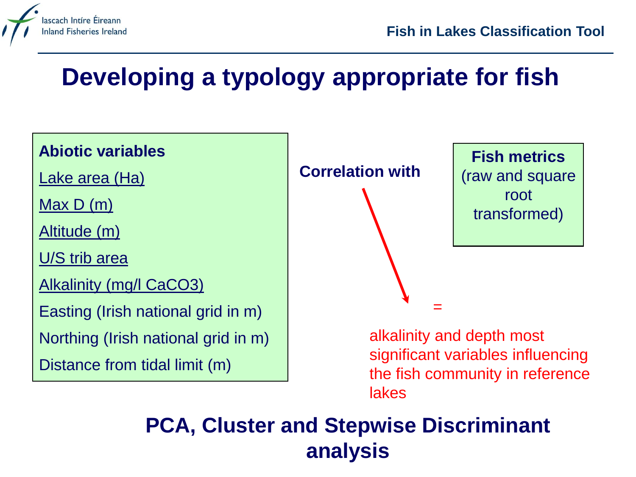

# **Developing a typology appropriate for fish**



### **PCA, Cluster and Stepwise Discriminant analysis**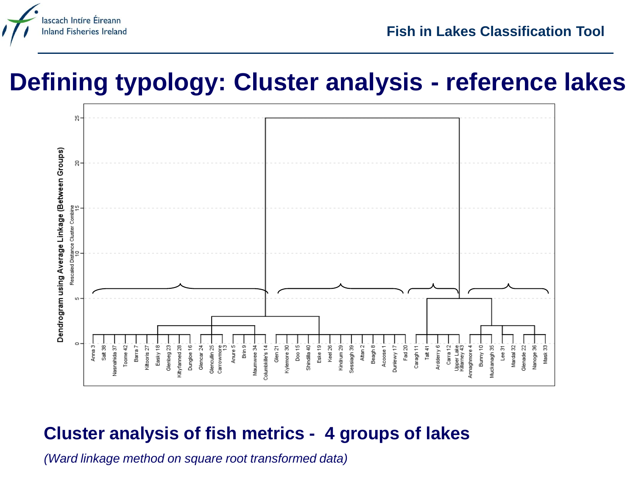

## **Defining typology: Cluster analysis - reference lakes**



### **Cluster analysis of fish metrics - 4 groups of lakes**

*(Ward linkage method on square root transformed data)*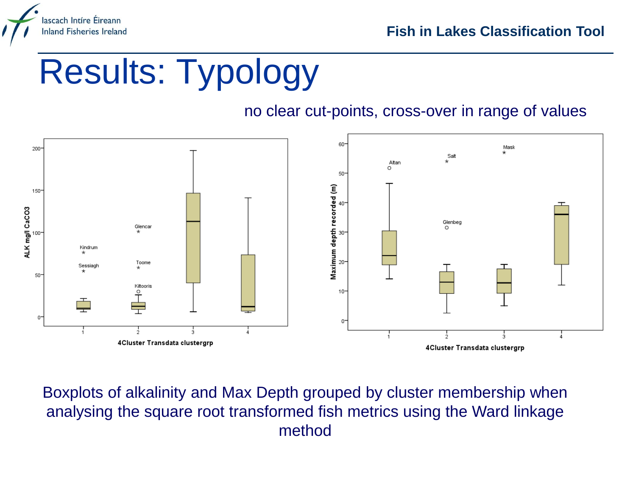

# Results: Typology

#### no clear cut-points, cross-over in range of values



Boxplots of alkalinity and Max Depth grouped by cluster membership when analysing the square root transformed fish metrics using the Ward linkage method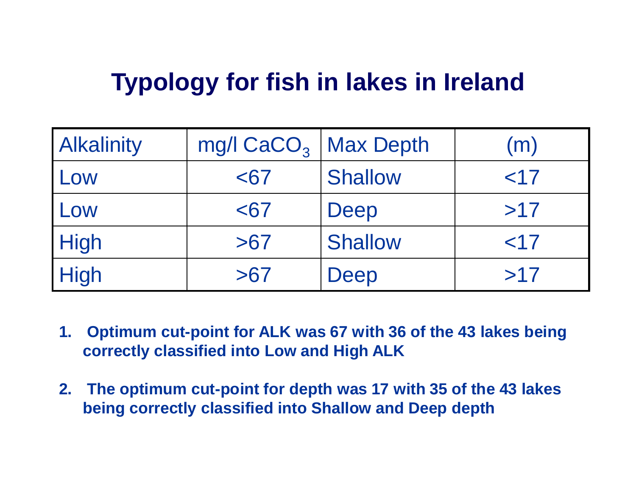# **Typology for fish in lakes in Ireland**

| <b>Alkalinity</b> | mg/l $CaCO3$ Max Depth |                | (m) |
|-------------------|------------------------|----------------|-----|
| Low               | <67                    | <b>Shallow</b> | ~17 |
| Low               | $67$                   | Deep           | >17 |
| <b>High</b>       | >67                    | <b>Shallow</b> | ~17 |
| <b>High</b>       | >67                    | Deep           | >17 |

- **1. Optimum cut-point for ALK was 67 with 36 of the 43 lakes being correctly classified into Low and High ALK**
- **2. The optimum cut-point for depth was 17 with 35 of the 43 lakes being correctly classified into Shallow and Deep depth**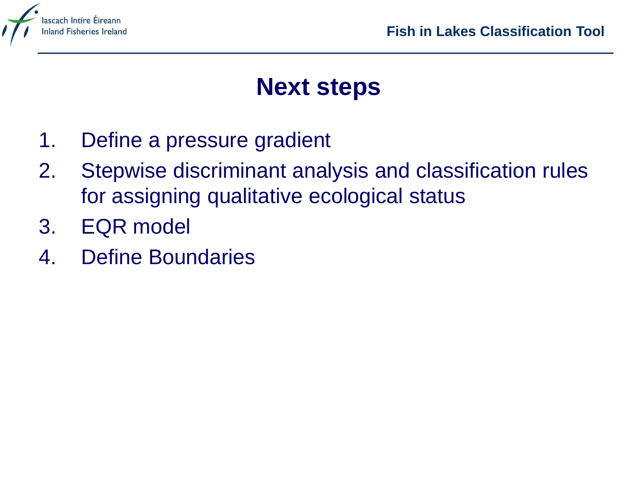

# **Next steps**

- 1. Define a pressure gradient
- 2. Stepwise discriminant analysis and classification rules for assigning qualitative ecological status
- 3. EQR model
- 4. Define Boundaries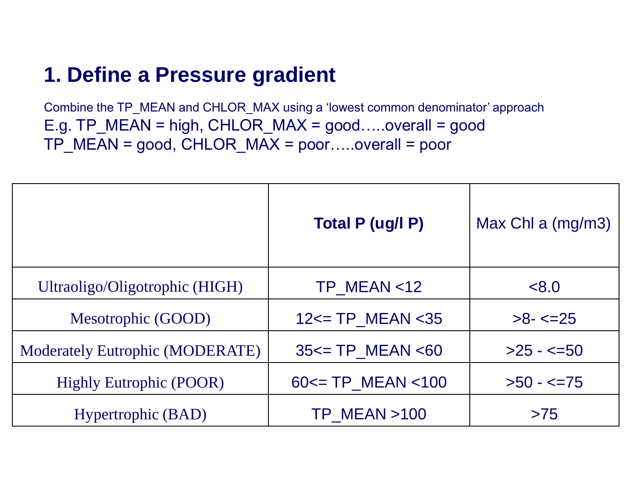### **1. Define a Pressure gradient**

Combine the TP\_MEAN and CHLOR\_MAX using a 'lowest common denominator' approach E.g. TP\_MEAN = high, CHLOR\_MAX = good…..overall = good TP\_MEAN = good, CHLOR\_MAX = poor…..overall = poor

|                                        | Total P (ug/l P)             | Max Chl a (mg/m3) |
|----------------------------------------|------------------------------|-------------------|
| Ultraoligo/Oligotrophic (HIGH)         | $TP$ MEAN <12                | < 8.0             |
| Mesotrophic (GOOD)                     | $12 \le T$ P_MEAN < 35       | $>8 - 25$         |
| <b>Moderately Eutrophic (MODERATE)</b> | $35 \leq T$ P MEAN $\leq 60$ | $>25 - 50$        |
| <b>Highly Eutrophic (POOR)</b>         | $60 \le T$ P MEAN $< 100$    | $>50 - 5 = 75$    |
| Hypertrophic (BAD)                     | <b>TP MEAN &gt;100</b>       | >75               |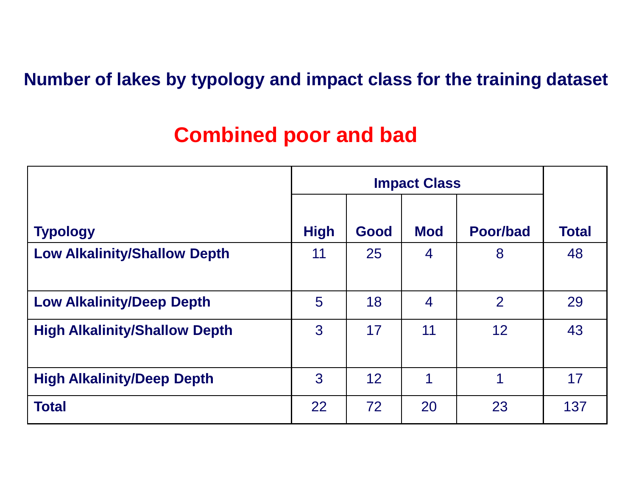#### **Number of lakes by typology and impact class for the training dataset**

### **Combined poor and bad**

|                                      | <b>Impact Class</b> |      |                |                |              |
|--------------------------------------|---------------------|------|----------------|----------------|--------------|
| <b>Typology</b>                      | <b>High</b>         | Good | <b>Mod</b>     | Poor/bad       | <b>Total</b> |
| <b>Low Alkalinity/Shallow Depth</b>  | 11                  | 25   | $\overline{4}$ | 8              | 48           |
| <b>Low Alkalinity/Deep Depth</b>     | 5                   | 18   | $\overline{4}$ | $\overline{2}$ | 29           |
| <b>High Alkalinity/Shallow Depth</b> | 3                   | 17   | 11             | 12             | 43           |
|                                      |                     |      |                |                |              |
| <b>High Alkalinity/Deep Depth</b>    | 3                   | 12   | 1              | 1              | 17           |
| <b>Total</b>                         | 22                  | 72   | 20             | 23             | 137          |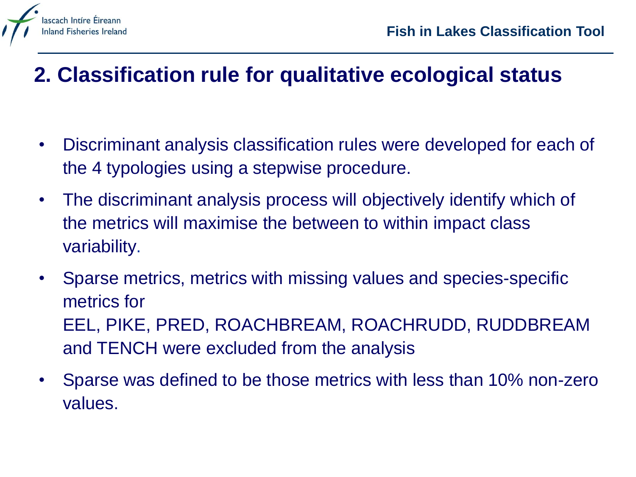

### **2. Classification rule for qualitative ecological status**

- Discriminant analysis classification rules were developed for each of the 4 typologies using a stepwise procedure.
- The discriminant analysis process will objectively identify which of the metrics will maximise the between to within impact class variability.
- Sparse metrics, metrics with missing values and species-specific metrics for EEL, PIKE, PRED, ROACHBREAM, ROACHRUDD, RUDDBREAM and TENCH were excluded from the analysis
- Sparse was defined to be those metrics with less than 10% non-zero values.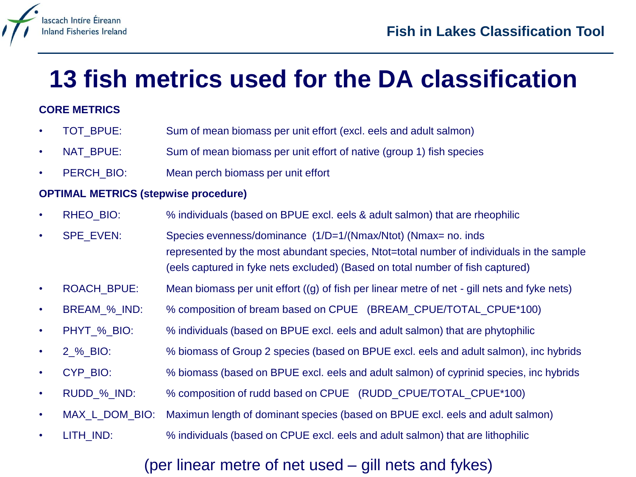

# **13 fish metrics used for the DA classification**

#### **CORE METRICS**

- TOT BPUE: Sum of mean biomass per unit effort (excl. eels and adult salmon)
- NAT\_BPUE: Sum of mean biomass per unit effort of native (group 1) fish species
- PERCH BIO: Mean perch biomass per unit effort

#### **OPTIMAL METRICS (stepwise procedure)**

- RHEO\_BIO: % individuals (based on BPUE excl. eels & adult salmon) that are rheophilic
- SPE\_EVEN: Species evenness/dominance (1/D=1/(Nmax/Ntot) (Nmax= no. inds represented by the most abundant species, Ntot=total number of individuals in the sample (eels captured in fyke nets excluded) (Based on total number of fish captured)
- ROACH BPUE: Mean biomass per unit effort  $((q)$  of fish per linear metre of net gill nets and fyke nets)
- BREAM % IND: % composition of bream based on CPUE (BREAM\_CPUE/TOTAL\_CPUE\*100)
- PHYT % BIO: % individuals (based on BPUE excl. eels and adult salmon) that are phytophilic
- 2 % BIO: % biomass of Group 2 species (based on BPUE excl. eels and adult salmon), inc hybrids
- CYP\_BIO: % biomass (based on BPUE excl. eels and adult salmon) of cyprinid species, inc hybrids
- RUDD\_%\_IND: % composition of rudd based on CPUE (RUDD\_CPUE/TOTAL\_CPUE\*100)
- MAX\_L\_DOM\_BIO: Maximun length of dominant species (based on BPUE excl. eels and adult salmon)
- LITH IND:  $\frac{1}{2}$  % individuals (based on CPUE excl. eels and adult salmon) that are lithophilic

#### (per linear metre of net used – gill nets and fykes)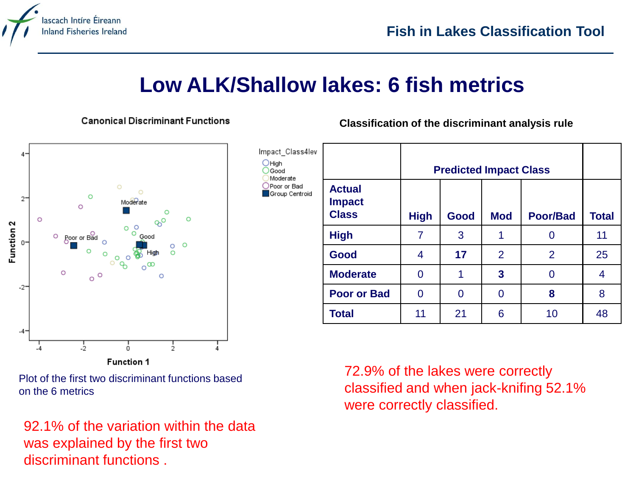

### **Low ALK/Shallow lakes: 6 fish metrics**

**Canonical Discriminant Functions** 

**Classification of the discriminant analysis rule**



Plot of the first two discriminant functions based on the 6 metrics

92.1% of the variation within the data was explained by the first two discriminant functions .

| Impact_Class4lev<br><b>O</b> High<br>Good<br>Moderate<br>OPoor or Bad<br>Group Centroid |                                                | <b>Predicted Impact Class</b> |      |                |                 |              |
|-----------------------------------------------------------------------------------------|------------------------------------------------|-------------------------------|------|----------------|-----------------|--------------|
|                                                                                         | <b>Actual</b><br><b>Impact</b><br><b>Class</b> | <b>High</b>                   | Good | <b>Mod</b>     | <b>Poor/Bad</b> | <b>Total</b> |
|                                                                                         | <b>High</b>                                    | 7                             | 3    | 1              | 0               | 11           |
|                                                                                         | Good                                           | 4                             | 17   | $\overline{2}$ | $\overline{2}$  | 25           |
|                                                                                         | <b>Moderate</b>                                | 0                             | 1    | 3              | 0               | 4            |
|                                                                                         | <b>Poor or Bad</b>                             | 0                             | 0    | 0              | 8               | 8            |
|                                                                                         | <b>Total</b>                                   | 11                            | 21   | 6              | 10              | 48           |

72.9% of the lakes were correctly classified and when jack-knifing 52.1% were correctly classified.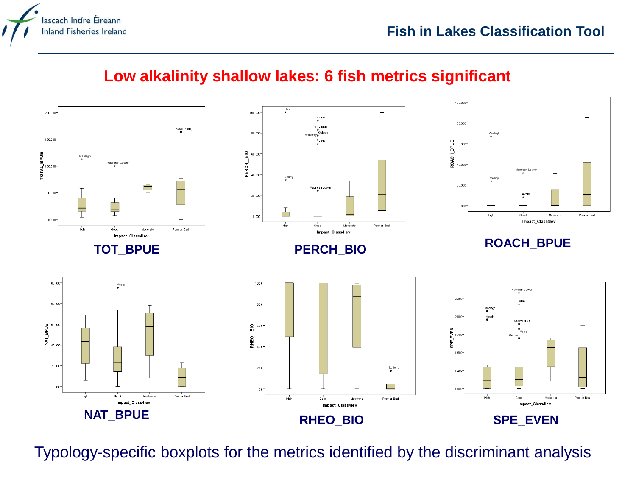

#### **Low alkalinity shallow lakes: 6 fish metrics significant**



Typology-specific boxplots for the metrics identified by the discriminant analysis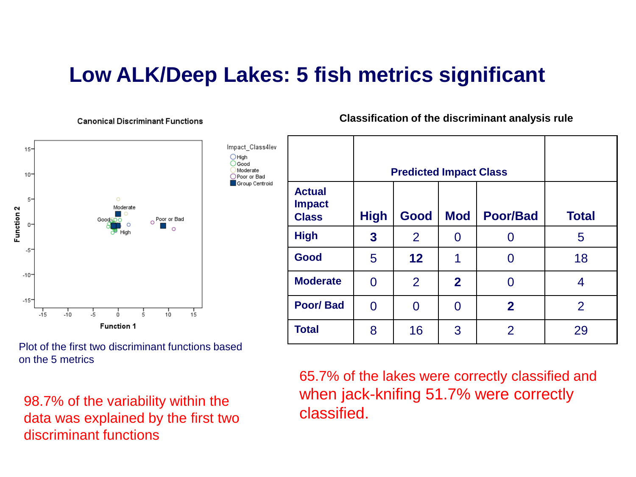### **Low ALK/Deep Lakes: 5 fish metrics significant**

#### **Canonical Discriminant Functions**



Plot of the first two discriminant functions based on the 5 metrics

98.7% of the variability within the data was explained by the first two discriminant functions

**Classification of the discriminant analysis rule**

|                                                |              | <b>Predicted Impact Class</b> |                |                 |              |
|------------------------------------------------|--------------|-------------------------------|----------------|-----------------|--------------|
| <b>Actual</b><br><b>Impact</b><br><b>Class</b> | <b>High</b>  | Good                          | <b>Mod</b>     | <b>Poor/Bad</b> | <b>Total</b> |
| <b>High</b>                                    | $\mathbf{3}$ | $\overline{2}$                | O              |                 | 5            |
| Good                                           | 5            | 12                            | 1              |                 | 18           |
| <b>Moderate</b>                                | 0            | 2                             | $\overline{2}$ | O               | 4            |
| <b>Poor/Bad</b>                                | 0            | O                             | O              | $\mathbf{2}$    | 2            |
| <b>Total</b>                                   | 8            | 16                            | 3              | $\overline{2}$  | 29           |

65.7% of the lakes were correctly classified and when jack-knifing 51.7% were correctly classified.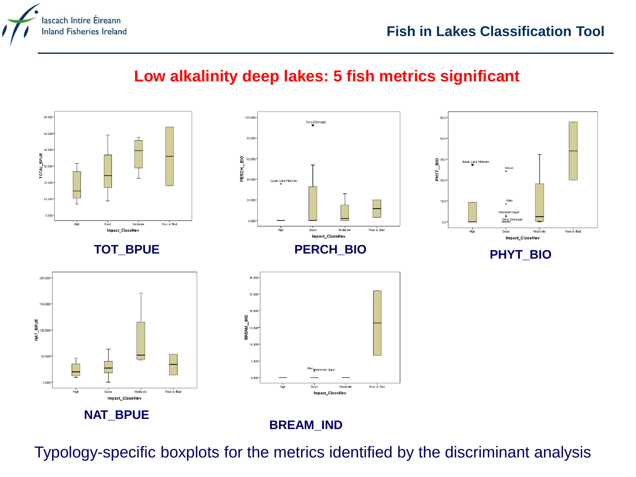

#### **Low alkalinity deep lakes: 5 fish metrics significant**



Typology-specific boxplots for the metrics identified by the discriminant analysis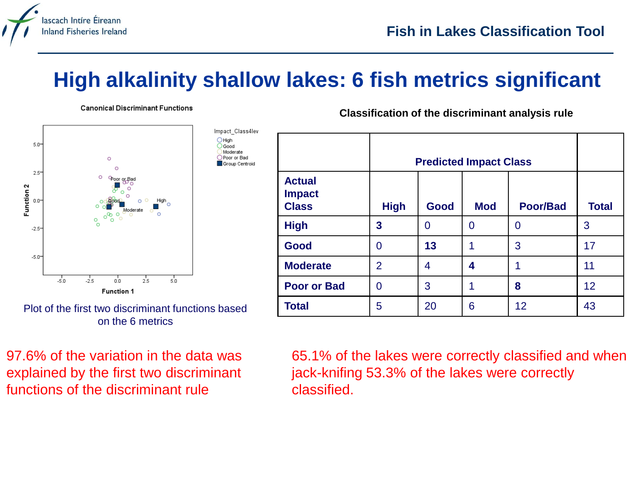

### **High alkalinity shallow lakes: 6 fish metrics significant**

**Canonical Discriminant Functions** 



Plot of the first two discriminant functions based on the 6 metrics

97.6% of the variation in the data was explained by the first two discriminant functions of the discriminant rule

**Classification of the discriminant analysis rule**

|                                                |                | <b>Predicted Impact Class</b> |            |                 |                 |  |  |
|------------------------------------------------|----------------|-------------------------------|------------|-----------------|-----------------|--|--|
| <b>Actual</b><br><b>Impact</b><br><b>Class</b> | <b>High</b>    | Good                          | <b>Mod</b> | <b>Poor/Bad</b> | <b>Total</b>    |  |  |
| <b>High</b>                                    | 3              | 0                             | O          | 0               | 3               |  |  |
| Good                                           | 0              | 13                            | 1          | 3               | 17              |  |  |
| <b>Moderate</b>                                | $\overline{2}$ | 4                             | 4          |                 | 11              |  |  |
| <b>Poor or Bad</b>                             | 0              | 3                             |            | 8               | 12 <sup>2</sup> |  |  |
| <b>Total</b>                                   | 5              | 20                            | 6          | 12              | 43              |  |  |

65.1% of the lakes were correctly classified and when jack-knifing 53.3% of the lakes were correctly classified.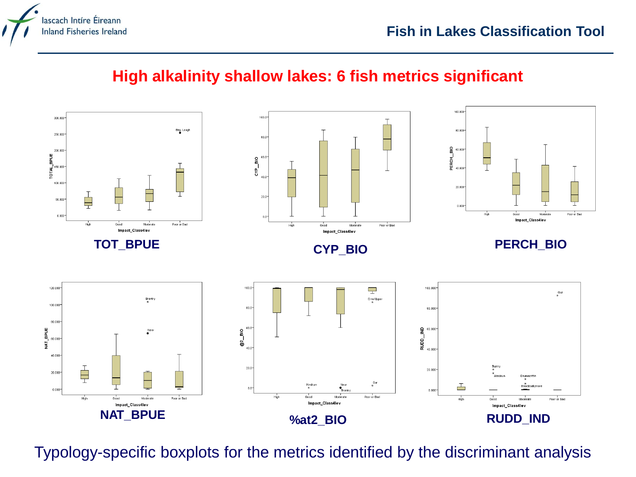

#### **High alkalinity shallow lakes: 6 fish metrics significant**



Typology-specific boxplots for the metrics identified by the discriminant analysis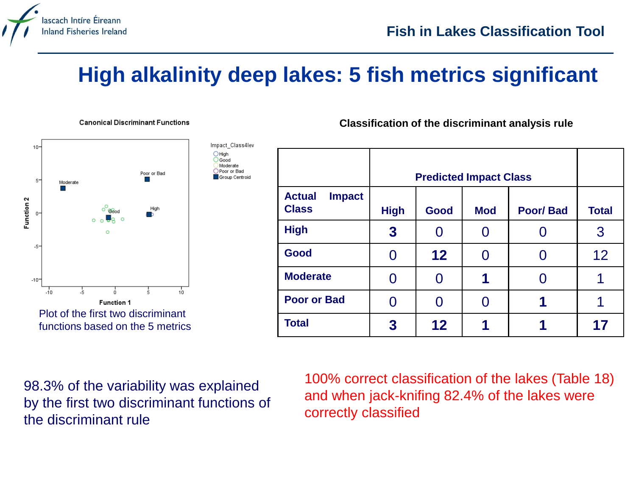

### **High alkalinity deep lakes: 5 fish metrics significant**

**Canonical Discriminant Functions** 



functions based on the 5 metrics

Moderate Poor or Bad Group Centroid **Classification of the discriminant analysis rule**

|                                                |             | <b>Predicted Impact Class</b> |            |                 |              |  |
|------------------------------------------------|-------------|-------------------------------|------------|-----------------|--------------|--|
| <b>Actual</b><br><b>Impact</b><br><b>Class</b> | <b>High</b> | Good                          | <b>Mod</b> | <b>Poor/Bad</b> | <b>Total</b> |  |
| <b>High</b>                                    | $\bf{3}$    |                               |            |                 | 3            |  |
| Good                                           | 0           | 12                            | 0          |                 | 12           |  |
| <b>Moderate</b>                                |             |                               | 1          |                 |              |  |
| <b>Poor or Bad</b>                             | Ω           | 0                             | 0          | 1               | 1            |  |
| <b>Total</b>                                   | 3           | 12                            |            |                 | 17           |  |

98.3% of the variability was explained by the first two discriminant functions of the discriminant rule

100% correct classification of the lakes (Table 18) and when jack-knifing 82.4% of the lakes were correctly classified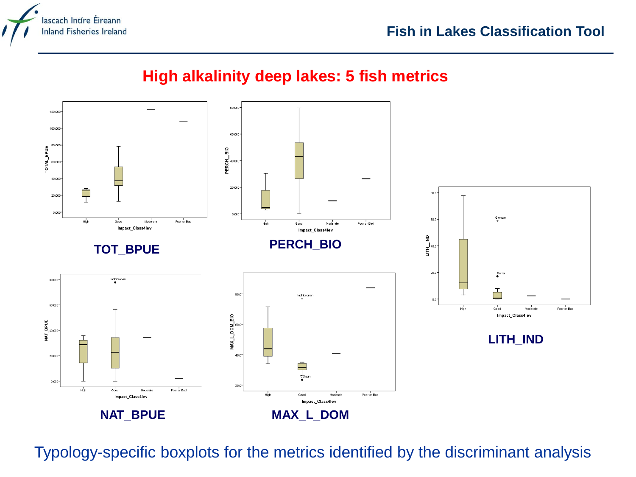

#### **High alkalinity deep lakes: 5 fish metrics**



Typology-specific boxplots for the metrics identified by the discriminant analysis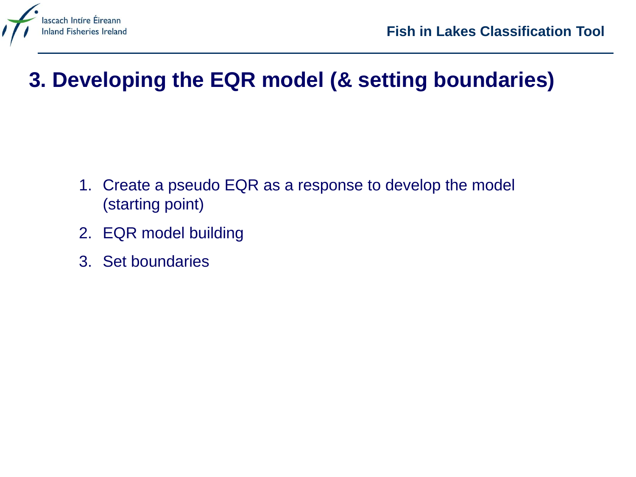

### **3. Developing the EQR model (& setting boundaries)**

- 1. Create a pseudo EQR as a response to develop the model (starting point)
- 2. EQR model building
- 3. Set boundaries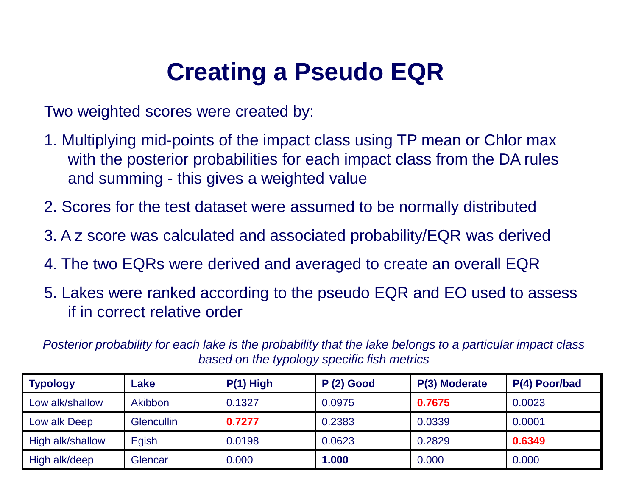# **Creating a Pseudo EQR**

Two weighted scores were created by:

- 1. Multiplying mid-points of the impact class using TP mean or Chlor max with the posterior probabilities for each impact class from the DA rules and summing - this gives a weighted value
- 2. Scores for the test dataset were assumed to be normally distributed
- 3. A z score was calculated and associated probability/EQR was derived
- 4. The two EQRs were derived and averaged to create an overall EQR
- 5. Lakes were ranked according to the pseudo EQR and EO used to assess if in correct relative order

*Posterior probability for each lake is the probability that the lake belongs to a particular impact class based on the typology specific fish metrics*

| <b>Typology</b>  | _ake              | $P(1)$ High | $P(2)$ Good | P(3) Moderate | P(4) Poor/bad |
|------------------|-------------------|-------------|-------------|---------------|---------------|
| Low alk/shallow  | Akibbon           | 0.1327      | 0.0975      | 0.7675        | 0.0023        |
| Low alk Deep     | <b>Glencullin</b> | 0.7277      | 0.2383      | 0.0339        | 0.0001        |
| High alk/shallow | Egish             | 0.0198      | 0.0623      | 0.2829        | 0.6349        |
| High alk/deep    | Glencar           | 0.000       | 1.000       | 0.000         | 0.000         |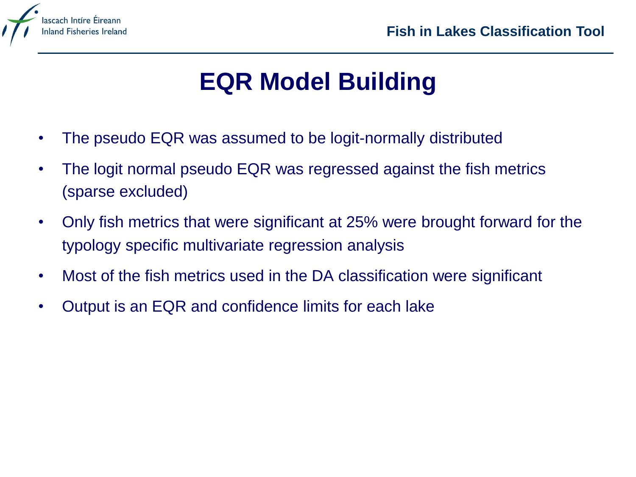

# **EQR Model Building**

- The pseudo EQR was assumed to be logit-normally distributed
- The logit normal pseudo EQR was regressed against the fish metrics (sparse excluded)
- Only fish metrics that were significant at 25% were brought forward for the typology specific multivariate regression analysis
- Most of the fish metrics used in the DA classification were significant
- Output is an EQR and confidence limits for each lake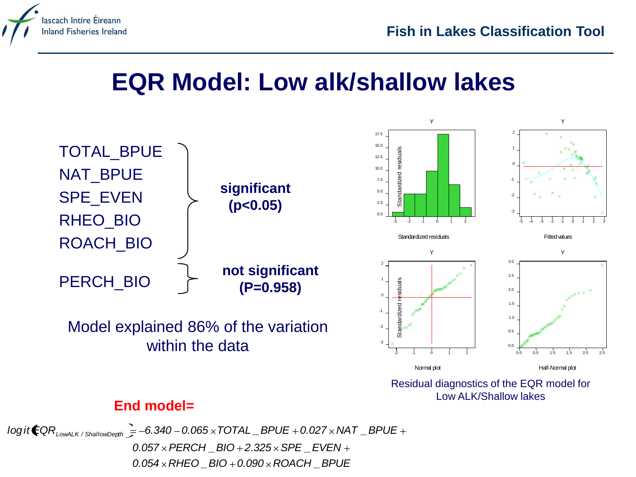

### **EQR Model: Low alk/shallow lakes**



#### **End model=**

*0.054 RHEO \_BIO 0.090 ROACH \_BPUE*  $0.057 \times PERCH$   $BIO + 2.325 \times SPE$   $EVEN +$  $logit$  **COR**<sub>LOWALK</sub> / ShallowDerth  $\frac{1}{5}$  -6.340 - 0.065  $\times$  TOTAL  $\frac{1}{2}$  BPUE + 0.027  $\times$  NAT  $\frac{1}{2}$  BPUE +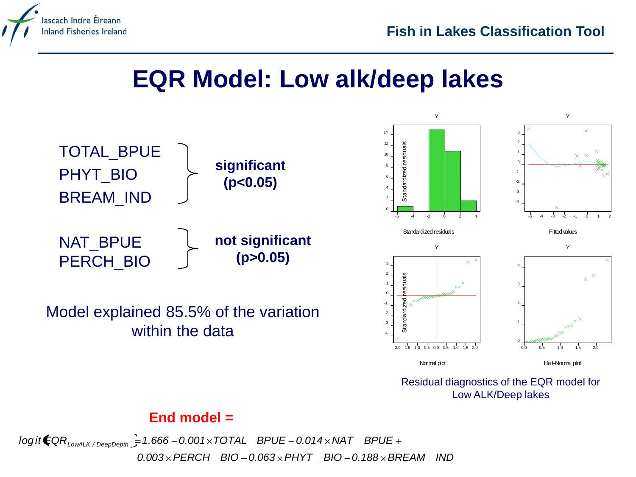

## **EQR Model: Low alk/deep lakes**



Model explained 85.5% of the variation within the data al<br>ar



Residual diagnostics of the EQR model for Low ALK/Deep lakes

#### **End model =**

*0.003 PERCH \_BIO 0.063 PHYT \_BIO 0.188 BREAM \_IND log i t EQRLowALK / DeepDepth 1.666 0.001 TOTAL \_BPUE 0.014 NAT \_BPUE*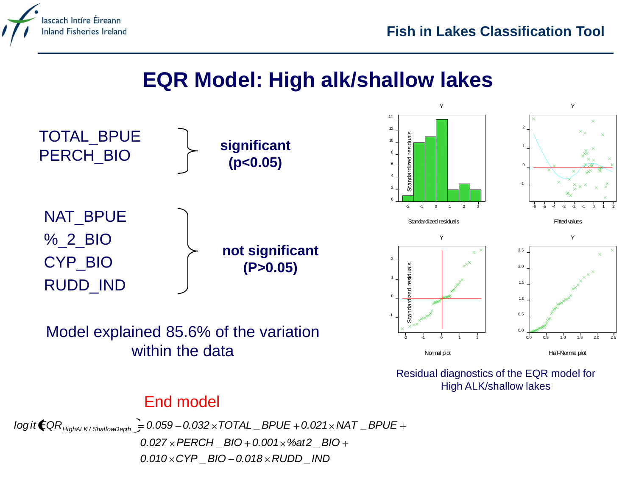

### **EQR Model: High alk/shallow lakes**



Model explained 85.6% of the variation within the data



Residual diagnostics of the EQR model for High ALK/shallow lakes

#### End model

*0.010 CYP \_BIO 0.018 RUDD \_IND 0.027 PERCH \_BIO 0.001 %at2 \_BIO logi t EQRHighALK / ShallowDepth 0.059 0.032 TOTAL \_BPUE 0.021 NAT \_BPUE*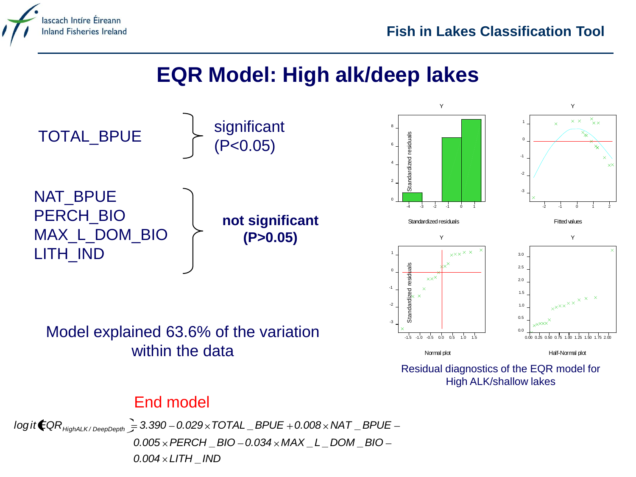

### **EQR Model: High alk/deep lakes**





Residual diagnostics of the EQR model for High ALK/shallow lakes

#### End model

Model explained 63.6% of the variation

within the data

*0.004 LITH \_IND 0.005 PERCH \_BIO 0.034 MAX \_L \_DOM \_BIO logi t EQRHighALK / DeepDepth 3.390 0.029 TOTAL \_BPUE 0.008 NAT \_BPUE*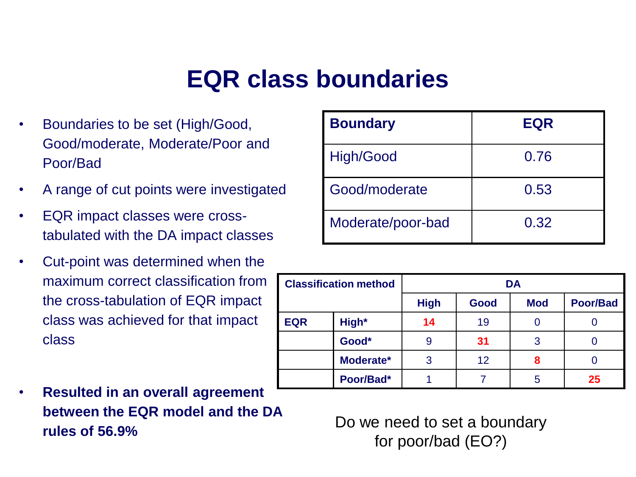# **EQR class boundaries**

- Boundaries to be set (High/Good, Good/moderate, Moderate/Poor and Poor/Bad
- A range of cut points were investigated
- EQR impact classes were crosstabulated with the DA impact classes
- Cut-point was determined when the maximum correct classification from the cross-tabulation of EQR impact class was achieved for that impact class

| $\bullet$ | <b>Resulted in an overall agreement</b> |
|-----------|-----------------------------------------|
|           | between the EQR model and the DA        |
|           | rules of $56.9\%$                       |

| <b>Boundary</b>   | <b>EQR</b> |
|-------------------|------------|
| High/Good         | 0.76       |
| Good/moderate     | 0.53       |
| Moderate/poor-bad | 0.32       |

| <b>Classification method</b> |           | <b>DA</b>   |      |            |                 |  |  |
|------------------------------|-----------|-------------|------|------------|-----------------|--|--|
|                              |           | <b>High</b> | Good | <b>Mod</b> | <b>Poor/Bad</b> |  |  |
| <b>EQR</b>                   | High*     | 14          | 19   |            |                 |  |  |
|                              | Good*     | 9           | 31   | 3          |                 |  |  |
|                              | Moderate* | 3           | 12   | 8          |                 |  |  |
|                              | Poor/Bad* |             |      | 5          | 25              |  |  |

Do we need to set a boundary for poor/bad (EO?)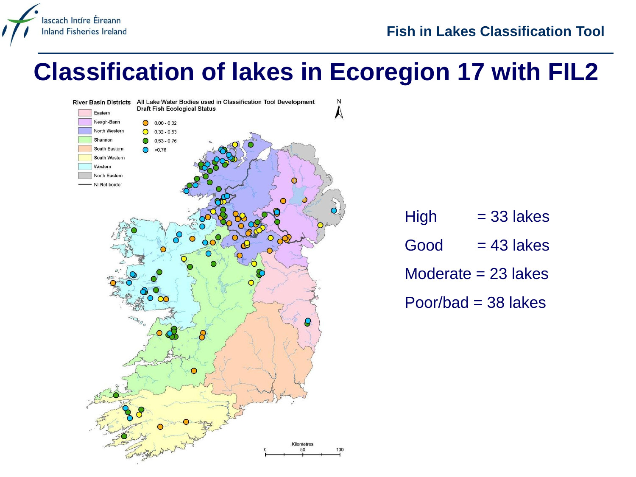#### **Fish in Lakes Classification Tool**

## **Classification of lakes in Ecoregion 17 with FIL2**



lascach Intíre Éireann **Inland Fisheries Ireland** 

| <b>High</b> | $=$ 33 lakes          |
|-------------|-----------------------|
| Good        | $= 43$ lakes          |
|             | Moderate $= 23$ lakes |

Poor/bad  $=$  38 lakes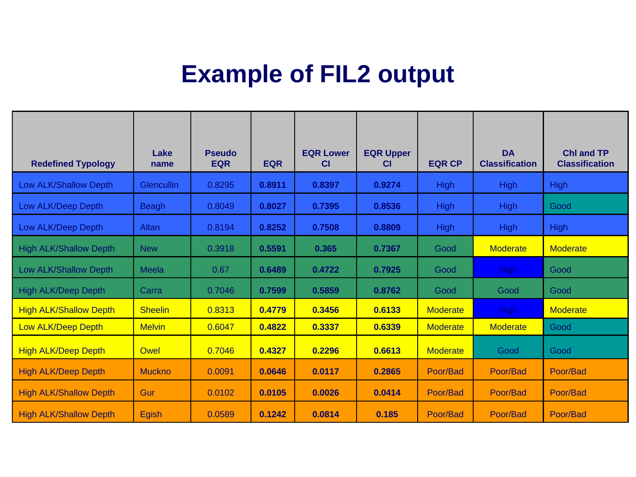# **Example of FIL2 output**

| <b>Redefined Typology</b>     | Lake<br>name   | <b>Pseudo</b><br><b>EQR</b> | <b>EQR</b> | <b>EQR Lower</b><br><b>CI</b> | <b>EQR Upper</b><br><b>CI</b> | <b>EQR CP</b>   | <b>DA</b><br><b>Classification</b> | <b>Chl and TP</b><br><b>Classification</b> |
|-------------------------------|----------------|-----------------------------|------------|-------------------------------|-------------------------------|-----------------|------------------------------------|--------------------------------------------|
| Low ALK/Shallow Depth         | Glencullin     | 0.8295                      | 0.8911     | 0.8397                        | 0.9274                        | <b>High</b>     | <b>High</b>                        | <b>High</b>                                |
| Low ALK/Deep Depth            | <b>Beagh</b>   | 0.8049                      | 0.8027     | 0.7395                        | 0.8536                        | <b>High</b>     | <b>High</b>                        | Good                                       |
| Low ALK/Deep Depth            | Altan          | 0.8194                      | 0.8252     | 0.7508                        | 0.8809                        | <b>High</b>     | <b>High</b>                        | <b>High</b>                                |
| <b>High ALK/Shallow Depth</b> | <b>New</b>     | 0.3918                      | 0.5591     | 0.365                         | 0.7367                        | Good            | <b>Moderate</b>                    | <b>Moderate</b>                            |
| Low ALK/Shallow Depth         | Meela          | 0.67                        | 0.6489     | 0.4722                        | 0.7925                        | Good            | High                               | Good                                       |
| <b>High ALK/Deep Depth</b>    | Carra          | 0.7046                      | 0.7599     | 0.5859                        | 0.8762                        | Good            | Good                               | Good                                       |
| <b>High ALK/Shallow Depth</b> | <b>Sheelin</b> | 0.8313                      | 0.4779     | 0.3456                        | 0.6133                        | <b>Moderate</b> | High                               | <b>Moderate</b>                            |
| <b>Low ALK/Deep Depth</b>     | <b>Melvin</b>  | 0.6047                      | 0.4822     | 0.3337                        | 0.6339                        | <b>Moderate</b> | <b>Moderate</b>                    | Good                                       |
| <b>High ALK/Deep Depth</b>    | Owel           | 0.7046                      | 0.4327     | 0.2296                        | 0.6613                        | <b>Moderate</b> | Good                               | Good                                       |
| <b>High ALK/Deep Depth</b>    | <b>Muckno</b>  | 0.0091                      | 0.0646     | 0.0117                        | 0.2865                        | Poor/Bad        | Poor/Bad                           | Poor/Bad                                   |
| <b>High ALK/Shallow Depth</b> | Gur            | 0.0102                      | 0.0105     | 0.0026                        | 0.0414                        | Poor/Bad        | Poor/Bad                           | Poor/Bad                                   |
| <b>High ALK/Shallow Depth</b> | <b>Egish</b>   | 0.0589                      | 0.1242     | 0.0814                        | 0.185                         | Poor/Bad        | Poor/Bad                           | Poor/Bad                                   |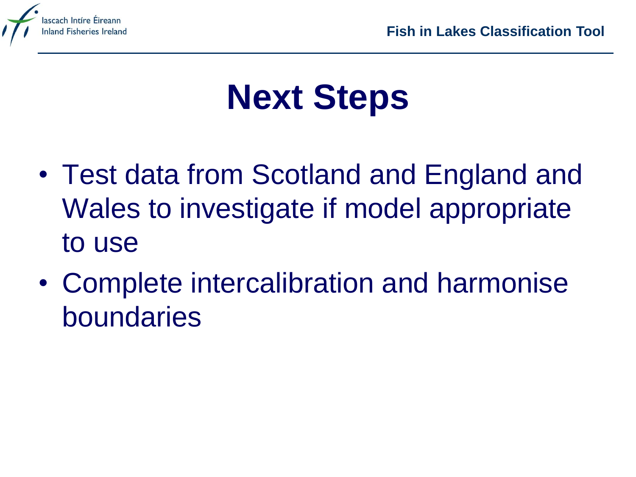

# **Next Steps**

- Test data from Scotland and England and Wales to investigate if model appropriate to use
- Complete intercalibration and harmonise boundaries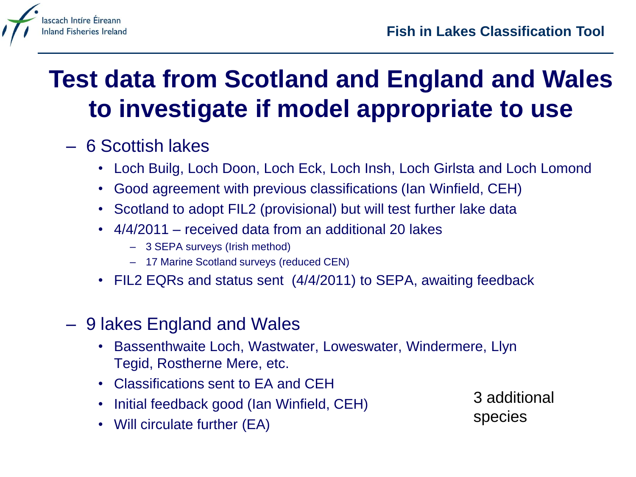

# **Test data from Scotland and England and Wales to investigate if model appropriate to use**

### – 6 Scottish lakes

- Loch Builg, Loch Doon, Loch Eck, Loch Insh, Loch Girlsta and Loch Lomond
- Good agreement with previous classifications (Ian Winfield, CEH)
- Scotland to adopt FIL2 (provisional) but will test further lake data
- 4/4/2011 received data from an additional 20 lakes
	- 3 SEPA surveys (Irish method)
	- 17 Marine Scotland surveys (reduced CEN)
- FIL2 EQRs and status sent (4/4/2011) to SEPA, awaiting feedback
- 9 lakes England and Wales
	- Bassenthwaite Loch, Wastwater, Loweswater, Windermere, Llyn Tegid, Rostherne Mere, etc.
	- Classifications sent to EA and CEH
	- Initial feedback good (Ian Winfield, CEH)
	- Will circulate further (EA)

3 additional species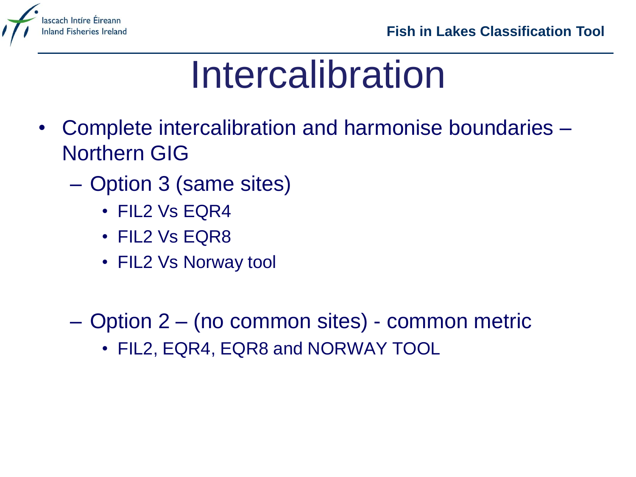

# Intercalibration

- Complete intercalibration and harmonise boundaries Northern GIG
	- Option 3 (same sites)
		- FIL2 Vs EQR4
		- FIL2 Vs EQR8
		- FIL2 Vs Norway tool
	- Option 2 (no common sites) common metric
		- FIL2, EQR4, EQR8 and NORWAY TOOL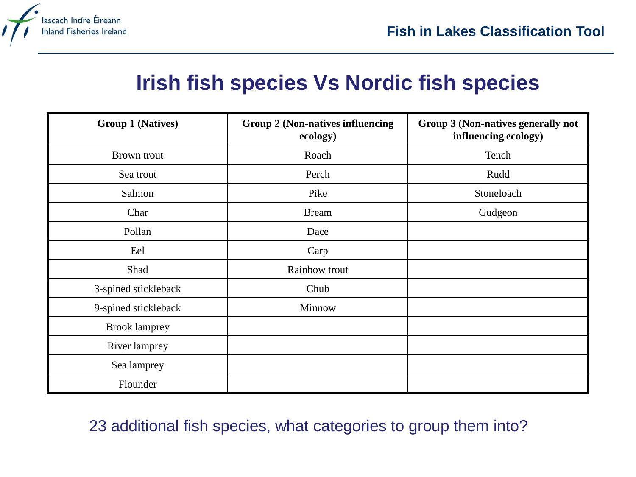

### **Irish fish species Vs Nordic fish species**

| <b>Group 1 (Natives)</b> | <b>Group 2 (Non-natives influencing</b><br>ecology) | Group 3 (Non-natives generally not<br>influencing ecology) |
|--------------------------|-----------------------------------------------------|------------------------------------------------------------|
| Brown trout              | Roach                                               | Tench                                                      |
| Sea trout                | Perch                                               | Rudd                                                       |
| Salmon                   | Pike                                                | Stoneloach                                                 |
| Char                     | <b>Bream</b>                                        | Gudgeon                                                    |
| Pollan                   | Dace                                                |                                                            |
| Eel                      | Carp                                                |                                                            |
| Shad                     | Rainbow trout                                       |                                                            |
| 3-spined stickleback     | Chub                                                |                                                            |
| 9-spined stickleback     | Minnow                                              |                                                            |
| <b>Brook lamprey</b>     |                                                     |                                                            |
| River lamprey            |                                                     |                                                            |
| Sea lamprey              |                                                     |                                                            |
| Flounder                 |                                                     |                                                            |

#### 23 additional fish species, what categories to group them into?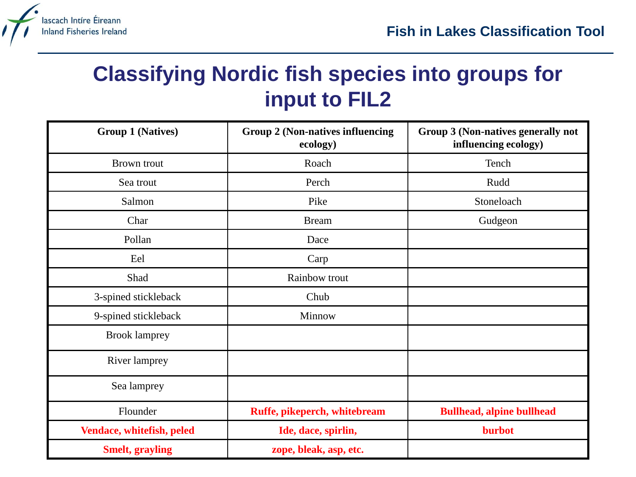

### **Classifying Nordic fish species into groups for input to FIL2**

| <b>Group 1 (Natives)</b>  | <b>Group 2 (Non-natives influencing</b><br>ecology) | Group 3 (Non-natives generally not<br>influencing ecology) |
|---------------------------|-----------------------------------------------------|------------------------------------------------------------|
| <b>Brown</b> trout        | Roach                                               | Tench                                                      |
| Sea trout                 | Perch                                               | Rudd                                                       |
| Salmon                    | Pike                                                | Stoneloach                                                 |
| Char                      | <b>Bream</b>                                        | Gudgeon                                                    |
| Pollan                    | Dace                                                |                                                            |
| Eel                       | Carp                                                |                                                            |
| Shad                      | Rainbow trout                                       |                                                            |
| 3-spined stickleback      | Chub                                                |                                                            |
| 9-spined stickleback      | Minnow                                              |                                                            |
| <b>Brook lamprey</b>      |                                                     |                                                            |
| River lamprey             |                                                     |                                                            |
| Sea lamprey               |                                                     |                                                            |
| Flounder                  | Ruffe, pikeperch, whitebream                        | <b>Bullhead, alpine bullhead</b>                           |
| Vendace, whitefish, peled | Ide, dace, spirlin,                                 | burbot                                                     |
| <b>Smelt, grayling</b>    | zope, bleak, asp, etc.                              |                                                            |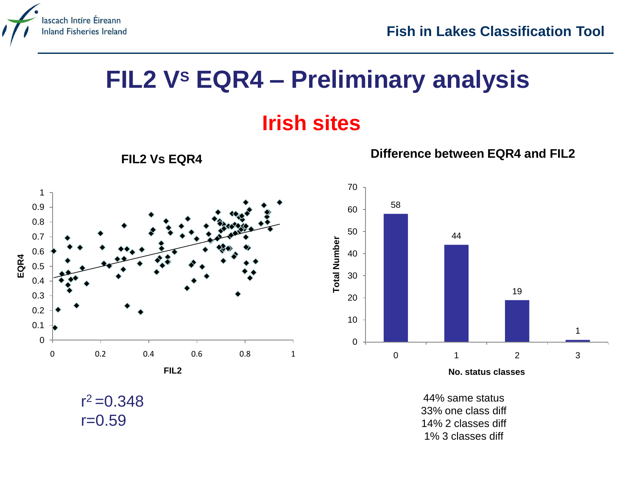

### **FIL2 V<sup>S</sup> EQR4 – Preliminary analysis**

### **Irish sites**



 $r^2 = 0.348$ 

 $r = 0.59$ 

**FIL2 Vs EQR4**

**Difference between EQR4 and FIL2**



**No. status classes**

44% same status 33% one class diff 14% 2 classes diff 1% 3 classes diff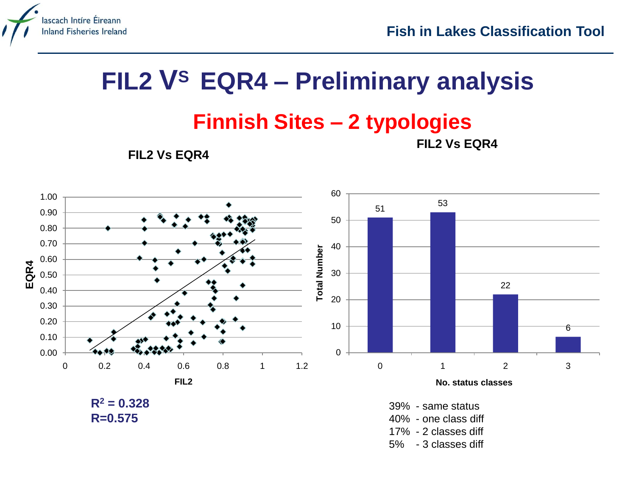

## **FIL2 V<sup>S</sup>EQR4 – Preliminary analysis**

#### **Finnish Sites – 2 typologies FIL2 Vs EQR4**

**FIL2 Vs EQR4**

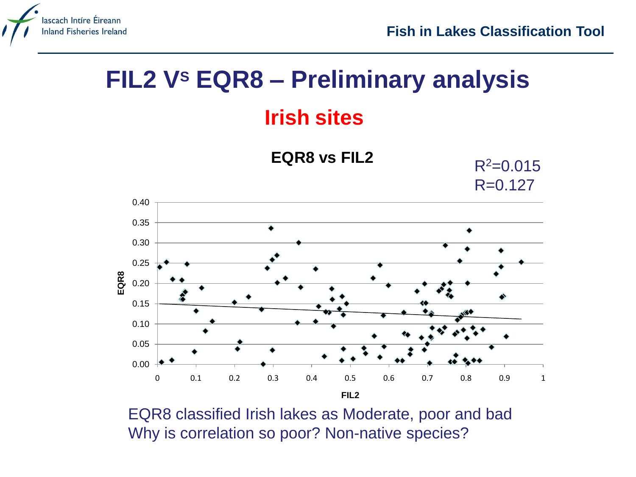

# **FIL2 V<sup>S</sup> EQR8 – Preliminary analysis**

### **Irish sites**



EQR8 classified Irish lakes as Moderate, poor and bad Why is correlation so poor? Non-native species?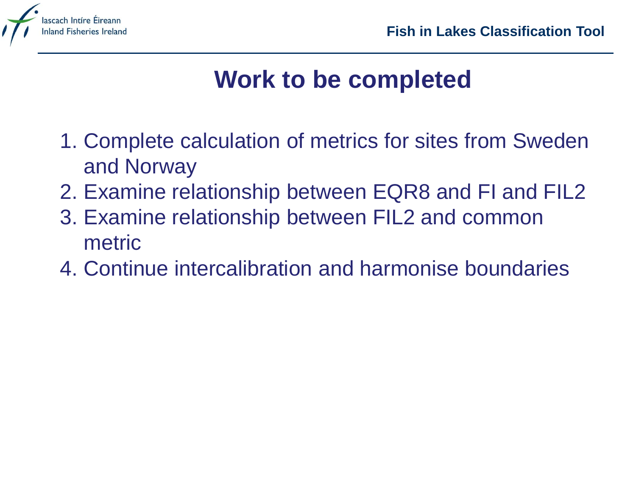

# **Work to be completed**

- 1. Complete calculation of metrics for sites from Sweden and Norway
- 2. Examine relationship between EQR8 and FI and FIL2
- 3. Examine relationship between FIL2 and common metric
- 4. Continue intercalibration and harmonise boundaries